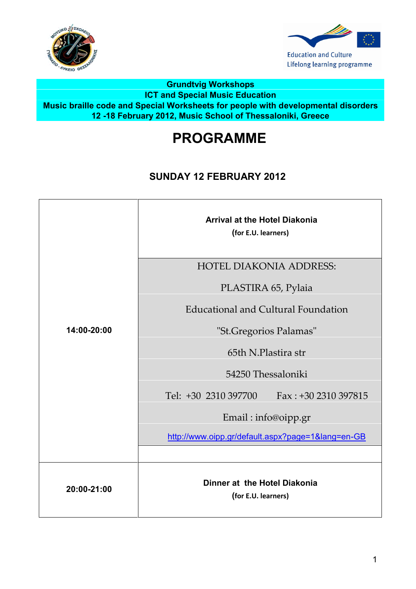



#### **Grundtvig Workshops ICT and Special Music Education Music braille code and Special Worksheets for people with developmental disorders 12 -18 February 2012, Music School of Thessaloniki, Greece**

# **PROGRAMME**

### **SUNDAY 12 FEBRUARY 2012**

|             | <b>Arrival at the Hotel Diakonia</b><br>(for E.U. learners) |  |  |
|-------------|-------------------------------------------------------------|--|--|
|             | <b>HOTEL DIAKONIA ADDRESS:</b>                              |  |  |
|             | PLASTIRA 65, Pylaia                                         |  |  |
|             | <b>Educational and Cultural Foundation</b>                  |  |  |
| 14:00-20:00 | "St. Gregorios Palamas"                                     |  |  |
|             | 65th N.Plastira str                                         |  |  |
|             | 54250 Thessaloniki                                          |  |  |
|             | Tel: $+30$ 2310 397700 Fax: $+30$ 2310 397815               |  |  |
|             | Email: info@oipp.gr                                         |  |  |
|             | http://www.oipp.gr/default.aspx?page=1⟨=en-GB               |  |  |
|             |                                                             |  |  |
| 20:00-21:00 | Dinner at the Hotel Diakonia<br>(for E.U. learners)         |  |  |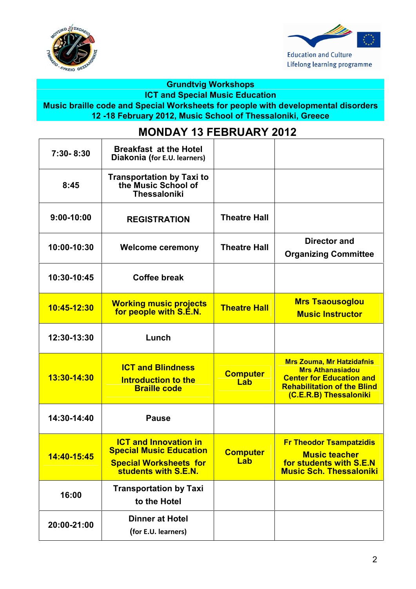



**ICT and Special Music Education**

**Music braille code and Special Worksheets for people with developmental disorders 12 -18 February 2012, Music School of Thessaloniki, Greece**

#### **MONDAY 13 FEBRUARY 2012**

| 7:30-8:30      | <b>Breakfast at the Hotel</b><br>Diakonia (for E.U. learners)                                                           |                        |                                                                                                                                                                |
|----------------|-------------------------------------------------------------------------------------------------------------------------|------------------------|----------------------------------------------------------------------------------------------------------------------------------------------------------------|
| 8:45           | <b>Transportation by Taxi to</b><br>the Music School of<br><b>Thessaloniki</b>                                          |                        |                                                                                                                                                                |
| $9:00 - 10:00$ | <b>REGISTRATION</b>                                                                                                     | <b>Theatre Hall</b>    |                                                                                                                                                                |
| 10:00-10:30    | <b>Welcome ceremony</b>                                                                                                 | <b>Theatre Hall</b>    | <b>Director and</b><br><b>Organizing Committee</b>                                                                                                             |
| 10:30-10:45    | <b>Coffee break</b>                                                                                                     |                        |                                                                                                                                                                |
| 10:45-12:30    | <b>Working music projects</b><br>for people with S.E.N.                                                                 | <b>Theatre Hall</b>    | <b>Mrs Tsaousoglou</b><br><b>Music Instructor</b>                                                                                                              |
| 12:30-13:30    | Lunch                                                                                                                   |                        |                                                                                                                                                                |
| 13:30-14:30    | <b>ICT and Blindness</b><br><b>Introduction to the</b><br><b>Braille code</b>                                           | <b>Computer</b><br>Lab | <b>Mrs Zouma, Mr Hatzidafnis</b><br><b>Mrs Athanasiadou</b><br><b>Center for Education and</b><br><b>Rehabilitation of the Blind</b><br>(C.E.R.B) Thessaloniki |
| 14:30-14:40    | <b>Pause</b>                                                                                                            |                        |                                                                                                                                                                |
| 14:40-15:45    | <b>ICT and Innovation in</b><br><b>Special Music Education</b><br><b>Special Worksheets for</b><br>students with S.E.N. | <b>Computer</b><br>Lab | <b>Fr Theodor Tsampatzidis</b><br><b>Music teacher</b><br>for students with S.E.N<br><b>Music Sch. Thessaloniki</b>                                            |
| 16:00          | <b>Transportation by Taxi</b><br>to the Hotel                                                                           |                        |                                                                                                                                                                |
| 20:00-21:00    | <b>Dinner at Hotel</b><br>(for E.U. learners)                                                                           |                        |                                                                                                                                                                |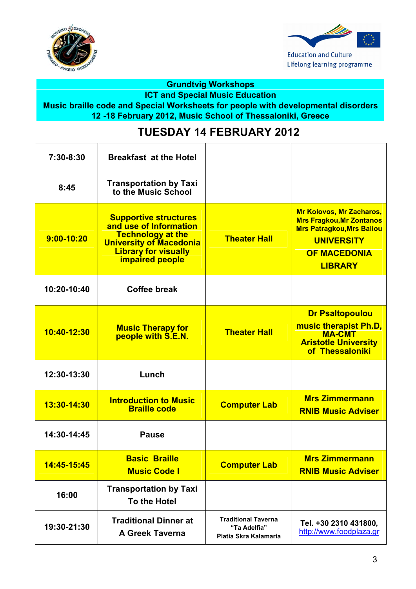



**ICT and Special Music Education**

**Music braille code and Special Worksheets for people with developmental disorders 12 -18 February 2012, Music School of Thessaloniki, Greece**

#### **TUESDAY 14 FEBRUARY 2012**

| 7:30-8:30      | <b>Breakfast at the Hotel</b>                                                                                                                                                 |                                                                     |                                                                                                                                                                      |
|----------------|-------------------------------------------------------------------------------------------------------------------------------------------------------------------------------|---------------------------------------------------------------------|----------------------------------------------------------------------------------------------------------------------------------------------------------------------|
| 8:45           | <b>Transportation by Taxi</b><br>to the Music School                                                                                                                          |                                                                     |                                                                                                                                                                      |
| $9:00 - 10:20$ | <b>Supportive structures</b><br>and use of Information<br><b>Technology at the</b><br><b>University of Macedonia</b><br><b>Library for visually</b><br><b>impaired people</b> | <b>Theater Hall</b>                                                 | <b>Mr Kolovos, Mr Zacharos,</b><br><b>Mrs Fragkou, Mr Zontanos</b><br><b>Mrs Patragkou, Mrs Baliou</b><br><b>UNIVERSITY</b><br><b>OF MACEDONIA</b><br><b>LIBRARY</b> |
| 10:20-10:40    | <b>Coffee break</b>                                                                                                                                                           |                                                                     |                                                                                                                                                                      |
| 10:40-12:30    | <b>Music Therapy for</b><br>people with S.E.N.                                                                                                                                | <b>Theater Hall</b>                                                 | <b>Dr Psaltopoulou</b><br>music therapist Ph.D,<br><b>MA-CMT</b><br><b>Aristotle University</b><br>of Thessaloniki                                                   |
| 12:30-13:30    | Lunch                                                                                                                                                                         |                                                                     |                                                                                                                                                                      |
| 13:30-14:30    | <b>Introduction to Music</b><br><b>Braille code</b>                                                                                                                           | <b>Computer Lab</b>                                                 | <b>Mrs Zimmermann</b><br><b>RNIB Music Adviser</b>                                                                                                                   |
| 14:30-14:45    | <b>Pause</b>                                                                                                                                                                  |                                                                     |                                                                                                                                                                      |
| 14:45-15:45    | <b>Basic Braille</b><br><b>Music Code I</b>                                                                                                                                   | <b>Computer Lab</b>                                                 | <b>Mrs Zimmermann</b><br><b>RNIB Music Adviser</b>                                                                                                                   |
| 16:00          | <b>Transportation by Taxi</b><br><b>To the Hotel</b>                                                                                                                          |                                                                     |                                                                                                                                                                      |
| 19:30-21:30    | <b>Traditional Dinner at</b><br><b>A Greek Taverna</b>                                                                                                                        | <b>Traditional Taverna</b><br>"Ta Adelfia"<br>Platia Skra Kalamaria | Tel. +30 2310 431800,<br>http://www.foodplaza.gr                                                                                                                     |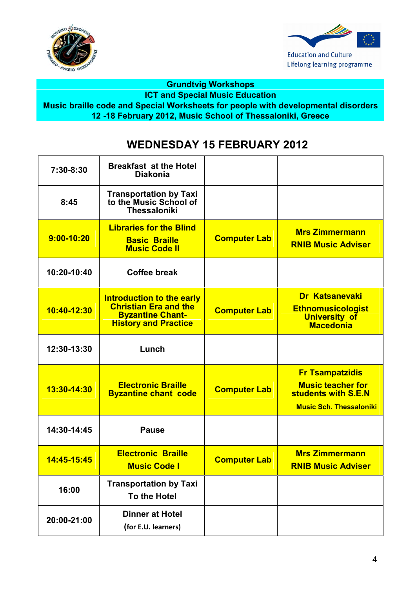



**ICT and Special Music Education Music braille code and Special Worksheets for people with developmental disorders 12 -18 February 2012, Music School of Thessaloniki, Greece**

### **WEDNESDAY 15 FEBRUARY 2012**

| 7:30-8:30      | <b>Breakfast at the Hotel</b><br><b>Diakonia</b>                                                                           |                     |                                                                                                             |
|----------------|----------------------------------------------------------------------------------------------------------------------------|---------------------|-------------------------------------------------------------------------------------------------------------|
| 8:45           | <b>Transportation by Taxi</b><br>to the Music School of<br><b>Thessaloniki</b>                                             |                     |                                                                                                             |
| $9:00 - 10:20$ | <b>Libraries for the Blind</b><br><b>Basic Braille</b><br><b>Music Code II</b>                                             | <b>Computer Lab</b> | <b>Mrs Zimmermann</b><br><b>RNIB Music Adviser</b>                                                          |
| 10:20-10:40    | <b>Coffee break</b>                                                                                                        |                     |                                                                                                             |
| 10:40-12:30    | <b>Introduction to the early</b><br><b>Christian Era and the</b><br><b>Byzantine Chant-</b><br><b>History and Practice</b> | <b>Computer Lab</b> | Dr Katsanevaki<br><b>Ethnomusicologist</b><br><b>University of</b><br><b>Macedonia</b>                      |
| 12:30-13:30    | Lunch                                                                                                                      |                     |                                                                                                             |
| 13:30-14:30    | <b>Electronic Braille</b><br><b>Byzantine chant code</b>                                                                   | <b>Computer Lab</b> | <b>Fr Tsampatzidis</b><br><b>Music teacher for</b><br>students with S.E.N<br><b>Music Sch. Thessaloniki</b> |
| 14:30-14:45    | <b>Pause</b>                                                                                                               |                     |                                                                                                             |
| 14:45-15:45    | <b>Electronic Braille</b><br><b>Music Code I</b>                                                                           | <b>Computer Lab</b> | <b>Mrs Zimmermann</b><br><b>RNIB Music Adviser</b>                                                          |
| 16:00          | <b>Transportation by Taxi</b><br><b>To the Hotel</b>                                                                       |                     |                                                                                                             |
| 20:00-21:00    | <b>Dinner at Hotel</b><br>(for E.U. learners)                                                                              |                     |                                                                                                             |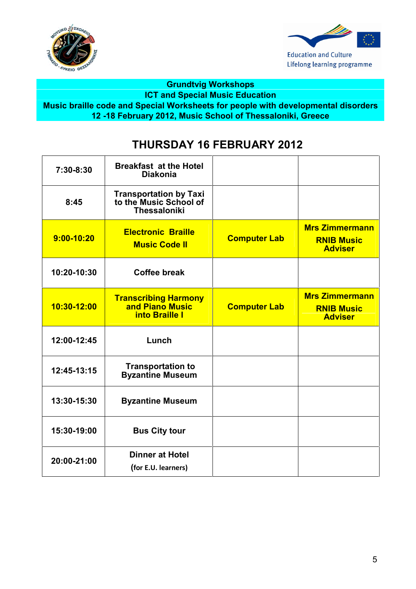



**ICT and Special Music Education Music braille code and Special Worksheets for people with developmental disorders 12 -18 February 2012, Music School of Thessaloniki, Greece**

### **THURSDAY 16 FEBRUARY 2012**

| 7:30-8:30      | <b>Breakfast at the Hotel</b><br><b>Diakonia</b>                                |                     |                                                              |
|----------------|---------------------------------------------------------------------------------|---------------------|--------------------------------------------------------------|
| 8:45           | <b>Transportation by Taxi<br/>to the Music School of</b><br><b>Thessaloniki</b> |                     |                                                              |
| $9:00 - 10:20$ | <b>Electronic Braille</b><br><b>Music Code II</b>                               | <b>Computer Lab</b> | <b>Mrs Zimmermann</b><br><b>RNIB Music</b><br><b>Adviser</b> |
| 10:20-10:30    | <b>Coffee break</b>                                                             |                     |                                                              |
| 10:30-12:00    | <b>Transcribing Harmony</b><br>and Piano Music<br><b>into Braille I</b>         | <b>Computer Lab</b> | <b>Mrs Zimmermann</b><br><b>RNIB Music</b><br><b>Adviser</b> |
| 12:00-12:45    | Lunch                                                                           |                     |                                                              |
| 12:45-13:15    | <b>Transportation to</b><br><b>Byzantine Museum</b>                             |                     |                                                              |
| 13:30-15:30    | <b>Byzantine Museum</b>                                                         |                     |                                                              |
| 15:30-19:00    | <b>Bus City tour</b>                                                            |                     |                                                              |
| 20:00-21:00    | <b>Dinner at Hotel</b>                                                          |                     |                                                              |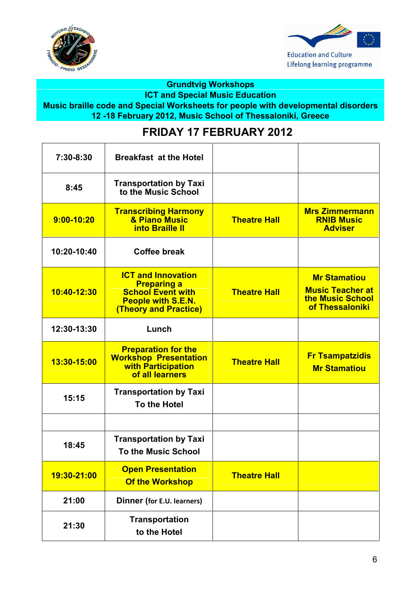



**ICT and Special Music Education**

#### **Music braille code and Special Worksheets for people with developmental disorders 12 -18 February 2012, Music School of Thessaloniki, Greece**

### **FRIDAY 17 FEBRUARY 2012**

| 7:30-8:30      | <b>Breakfast at the Hotel</b>                                                                                                     |                     |                                                                                       |
|----------------|-----------------------------------------------------------------------------------------------------------------------------------|---------------------|---------------------------------------------------------------------------------------|
| 8:45           | <b>Transportation by Taxi</b><br>to the Music School                                                                              |                     |                                                                                       |
| $9:00 - 10:20$ | <b>Transcribing Harmony</b><br>& Piano Music<br><b>into Braille II</b>                                                            | <b>Theatre Hall</b> | <b>Mrs Zimmermann</b><br><b>RNIB Music</b><br><b>Adviser</b>                          |
| 10:20-10:40    | <b>Coffee break</b>                                                                                                               |                     |                                                                                       |
| 10:40-12:30    | <b>ICT and Innovation</b><br><b>Preparing a</b><br><b>School Event with</b><br>People with S.E.N.<br><b>(Theory and Practice)</b> | <b>Theatre Hall</b> | <b>Mr Stamatiou</b><br><b>Music Teacher at</b><br>the Music School<br>of Thessaloniki |
| 12:30-13:30    | Lunch                                                                                                                             |                     |                                                                                       |
| 13:30-15:00    | <b>Preparation for the</b><br><b>Workshop Presentation</b><br>with Participation<br>of all learners                               | <b>Theatre Hall</b> | <b>Fr Tsampatzidis</b><br><b>Mr Stamatiou</b>                                         |
| 15:15          | <b>Transportation by Taxi</b><br><b>To the Hotel</b>                                                                              |                     |                                                                                       |
|                |                                                                                                                                   |                     |                                                                                       |
| 18:45          | <b>Transportation by Taxi</b><br><b>To the Music School</b>                                                                       |                     |                                                                                       |
| 19:30-21:00    | <b>Open Presentation</b><br><b>Of the Workshop</b>                                                                                | <b>Theatre Hall</b> |                                                                                       |
| 21:00          | Dinner (for E.U. learners)                                                                                                        |                     |                                                                                       |
| 21:30          | <b>Transportation</b><br>to the Hotel                                                                                             |                     |                                                                                       |